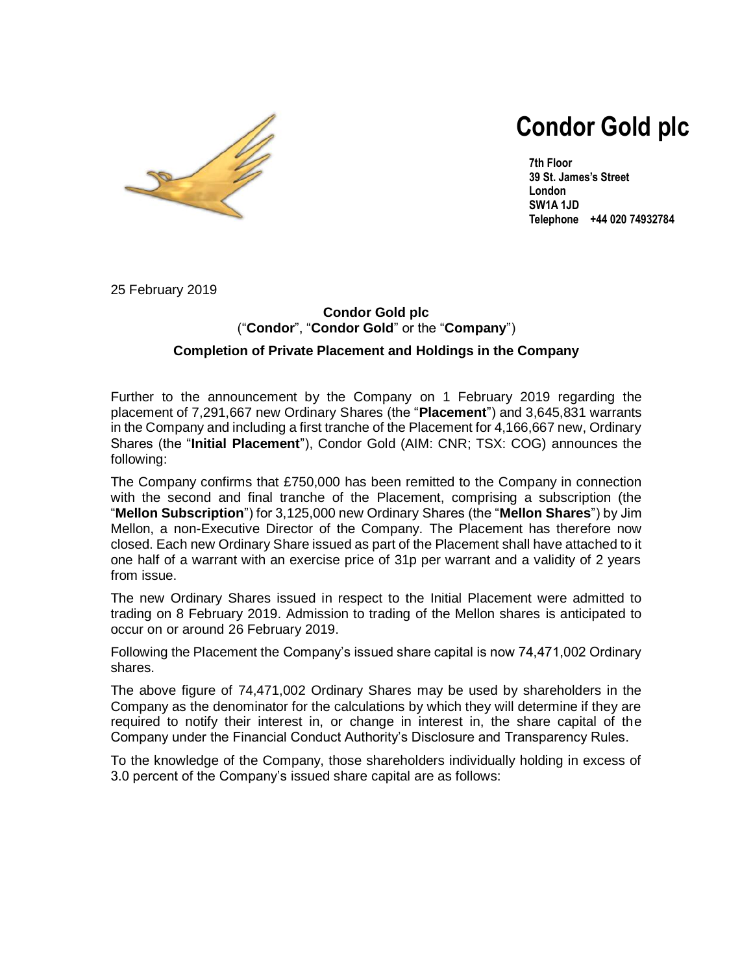

# **Condor Gold plc**

**7th Floor 39 St. James's Street London SW1A 1JD Telephone +44 020 74932784**

25 February 2019

### **Condor Gold plc** ("**Condor**", "**Condor Gold**" or the "**Company**") **Completion of Private Placement and Holdings in the Company**

Further to the announcement by the Company on 1 February 2019 regarding the placement of 7,291,667 new Ordinary Shares (the "**Placement**") and 3,645,831 warrants in the Company and including a first tranche of the Placement for 4,166,667 new, Ordinary Shares (the "**Initial Placement**"), Condor Gold (AIM: CNR; TSX: COG) announces the following:

The Company confirms that £750,000 has been remitted to the Company in connection with the second and final tranche of the Placement, comprising a subscription (the "**Mellon Subscription**") for 3,125,000 new Ordinary Shares (the "**Mellon Shares**") by Jim Mellon, a non-Executive Director of the Company. The Placement has therefore now closed. Each new Ordinary Share issued as part of the Placement shall have attached to it one half of a warrant with an exercise price of 31p per warrant and a validity of 2 years from issue.

The new Ordinary Shares issued in respect to the Initial Placement were admitted to trading on 8 February 2019. Admission to trading of the Mellon shares is anticipated to occur on or around 26 February 2019.

Following the Placement the Company's issued share capital is now 74,471,002 Ordinary shares.

The above figure of 74,471,002 Ordinary Shares may be used by shareholders in the Company as the denominator for the calculations by which they will determine if they are required to notify their interest in, or change in interest in, the share capital of the Company under the Financial Conduct Authority's Disclosure and Transparency Rules.

To the knowledge of the Company, those shareholders individually holding in excess of 3.0 percent of the Company's issued share capital are as follows: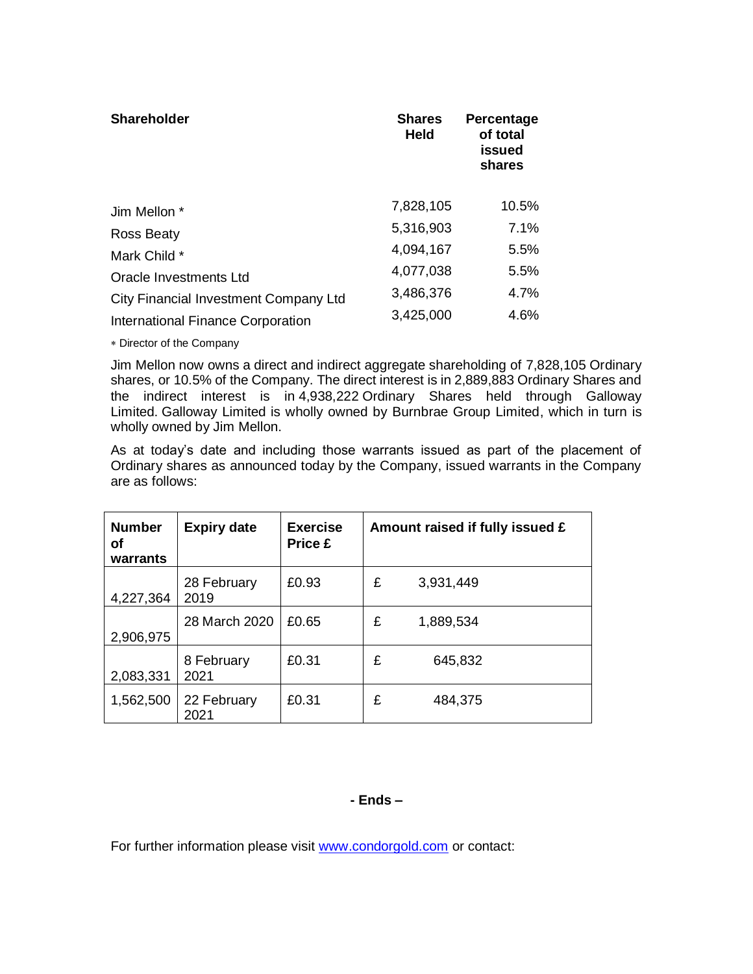| <b>Shareholder</b>                    | <b>Shares</b><br><b>Held</b> | Percentage<br>of total<br>issued<br>shares |
|---------------------------------------|------------------------------|--------------------------------------------|
| Jim Mellon *                          | 7,828,105                    | 10.5%                                      |
| <b>Ross Beaty</b>                     | 5,316,903                    | 7.1%                                       |
| Mark Child *                          | 4,094,167                    | 5.5%                                       |
| Oracle Investments Ltd                | 4,077,038                    | 5.5%                                       |
| City Financial Investment Company Ltd | 3,486,376                    | 4.7%                                       |
| International Finance Corporation     | 3,425,000                    | 4.6%                                       |

Director of the Company

Jim Mellon now owns a direct and indirect aggregate shareholding of 7,828,105 Ordinary shares, or 10.5% of the Company. The direct interest is in 2,889,883 Ordinary Shares and the indirect interest is in 4,938,222 Ordinary Shares held through Galloway Limited. Galloway Limited is wholly owned by Burnbrae Group Limited, which in turn is wholly owned by Jim Mellon.

As at today's date and including those warrants issued as part of the placement of Ordinary shares as announced today by the Company, issued warrants in the Company are as follows:

| <b>Number</b><br>οf<br>warrants | <b>Expiry date</b>  | <b>Exercise</b><br><b>Price £</b> |   | Amount raised if fully issued £ |
|---------------------------------|---------------------|-----------------------------------|---|---------------------------------|
| 4,227,364                       | 28 February<br>2019 | £0.93                             | £ | 3,931,449                       |
| 2,906,975                       | 28 March 2020       | £0.65                             | £ | 1,889,534                       |
| 2,083,331                       | 8 February<br>2021  | £0.31                             | £ | 645,832                         |
| 1,562,500                       | 22 February<br>2021 | £0.31                             | £ | 484,375                         |

## **- Ends –**

For further information please visit www.condorgold.com or contact: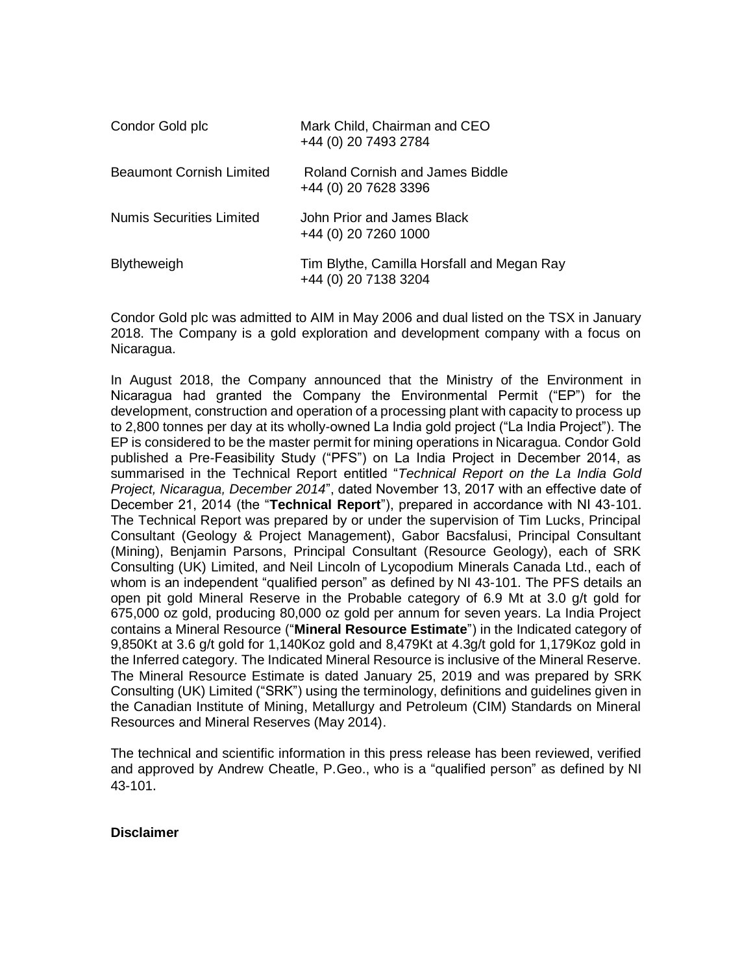| Condor Gold plc          | Mark Child, Chairman and CEO<br>+44 (0) 20 7493 2784               |
|--------------------------|--------------------------------------------------------------------|
| Beaumont Cornish Limited | Roland Cornish and James Biddle<br>+44 (0) 20 7628 3396            |
| Numis Securities Limited | John Prior and James Black<br>+44 (0) 20 7260 1000                 |
| <b>Blytheweigh</b>       | Tim Blythe, Camilla Horsfall and Megan Ray<br>+44 (0) 20 7138 3204 |

Condor Gold plc was admitted to AIM in May 2006 and dual listed on the TSX in January 2018. The Company is a gold exploration and development company with a focus on Nicaragua.

In August 2018, the Company announced that the Ministry of the Environment in Nicaragua had granted the Company the Environmental Permit ("EP") for the development, construction and operation of a processing plant with capacity to process up to 2,800 tonnes per day at its wholly-owned La India gold project ("La India Project"). The EP is considered to be the master permit for mining operations in Nicaragua. Condor Gold published a Pre-Feasibility Study ("PFS") on La India Project in December 2014, as summarised in the Technical Report entitled "*Technical Report on the La India Gold Project, Nicaragua, December 2014*", dated November 13, 2017 with an effective date of December 21, 2014 (the "**Technical Report**"), prepared in accordance with NI 43-101. The Technical Report was prepared by or under the supervision of Tim Lucks, Principal Consultant (Geology & Project Management), Gabor Bacsfalusi, Principal Consultant (Mining), Benjamin Parsons, Principal Consultant (Resource Geology), each of SRK Consulting (UK) Limited, and Neil Lincoln of Lycopodium Minerals Canada Ltd., each of whom is an independent "qualified person" as defined by NI 43-101. The PFS details an open pit gold Mineral Reserve in the Probable category of 6.9 Mt at 3.0 g/t gold for 675,000 oz gold, producing 80,000 oz gold per annum for seven years. La India Project contains a Mineral Resource ("**Mineral Resource Estimate**") in the Indicated category of 9,850Kt at 3.6 g/t gold for 1,140Koz gold and 8,479Kt at 4.3g/t gold for 1,179Koz gold in the Inferred category. The Indicated Mineral Resource is inclusive of the Mineral Reserve. The Mineral Resource Estimate is dated January 25, 2019 and was prepared by SRK Consulting (UK) Limited ("SRK") using the terminology, definitions and guidelines given in the Canadian Institute of Mining, Metallurgy and Petroleum (CIM) Standards on Mineral Resources and Mineral Reserves (May 2014).

The technical and scientific information in this press release has been reviewed, verified and approved by Andrew Cheatle, P.Geo., who is a "qualified person" as defined by NI 43-101.

#### **Disclaimer**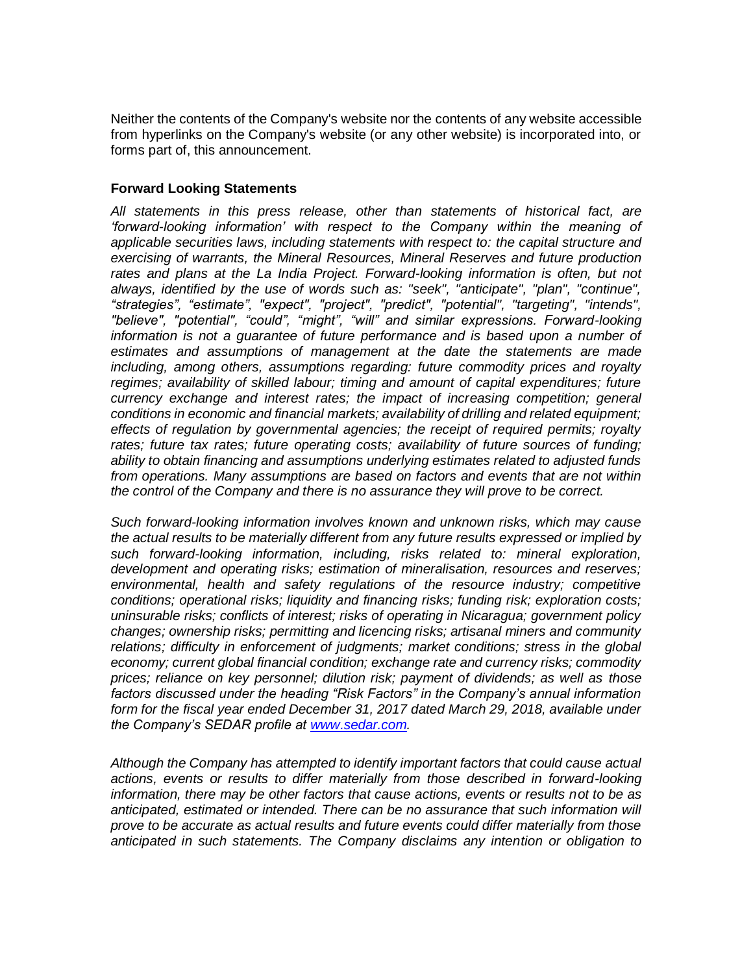Neither the contents of the Company's website nor the contents of any website accessible from hyperlinks on the Company's website (or any other website) is incorporated into, or forms part of, this announcement.

#### **Forward Looking Statements**

*All statements in this press release, other than statements of historical fact, are 'forward-looking information' with respect to the Company within the meaning of applicable securities laws, including statements with respect to: the capital structure and exercising of warrants, the Mineral Resources, Mineral Reserves and future production*  rates and plans at the La India Project. Forward-looking information is often, but not *always, identified by the use of words such as: "seek", "anticipate", "plan", "continue", "strategies", "estimate", "expect", "project", "predict", "potential", "targeting", "intends", "believe", "potential", "could", "might", "will" and similar expressions. Forward-looking information is not a guarantee of future performance and is based upon a number of estimates and assumptions of management at the date the statements are made including, among others, assumptions regarding: future commodity prices and royalty regimes; availability of skilled labour; timing and amount of capital expenditures; future currency exchange and interest rates; the impact of increasing competition; general conditions in economic and financial markets; availability of drilling and related equipment; effects of regulation by governmental agencies; the receipt of required permits; royalty rates; future tax rates; future operating costs; availability of future sources of funding; ability to obtain financing and assumptions underlying estimates related to adjusted funds from operations. Many assumptions are based on factors and events that are not within the control of the Company and there is no assurance they will prove to be correct.* 

*Such forward-looking information involves known and unknown risks, which may cause the actual results to be materially different from any future results expressed or implied by such forward-looking information, including, risks related to: mineral exploration, development and operating risks; estimation of mineralisation, resources and reserves; environmental, health and safety regulations of the resource industry; competitive conditions; operational risks; liquidity and financing risks; funding risk; exploration costs; uninsurable risks; conflicts of interest; risks of operating in Nicaragua; government policy changes; ownership risks; permitting and licencing risks; artisanal miners and community relations; difficulty in enforcement of judgments; market conditions; stress in the global economy; current global financial condition; exchange rate and currency risks; commodity prices; reliance on key personnel; dilution risk; payment of dividends; as well as those factors discussed under the heading "Risk Factors" in the Company's annual information form for the fiscal year ended December 31, 2017 dated March 29, 2018, available under the Company's SEDAR profile at [www.sedar.com.](http://www.sedar.com/)*

*Although the Company has attempted to identify important factors that could cause actual actions, events or results to differ materially from those described in forward-looking information, there may be other factors that cause actions, events or results not to be as anticipated, estimated or intended. There can be no assurance that such information will prove to be accurate as actual results and future events could differ materially from those anticipated in such statements. The Company disclaims any intention or obligation to*